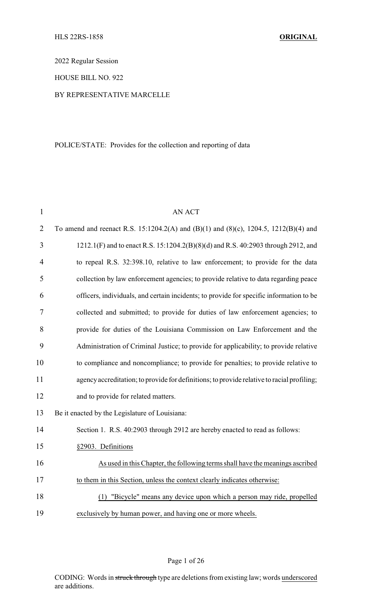2022 Regular Session

### HOUSE BILL NO. 922

#### BY REPRESENTATIVE MARCELLE

### POLICE/STATE: Provides for the collection and reporting of data

| $\mathbf{1}$   | <b>AN ACT</b>                                                                              |
|----------------|--------------------------------------------------------------------------------------------|
| $\overline{2}$ | To amend and reenact R.S. 15:1204.2(A) and (B)(1) and (8)(c), 1204.5, 1212(B)(4) and       |
| 3              | 1212.1(F) and to enact R.S. 15:1204.2(B)(8)(d) and R.S. 40:2903 through 2912, and          |
| 4              | to repeal R.S. 32:398.10, relative to law enforcement; to provide for the data             |
| 5              | collection by law enforcement agencies; to provide relative to data regarding peace        |
| 6              | officers, individuals, and certain incidents; to provide for specific information to be    |
| 7              | collected and submitted; to provide for duties of law enforcement agencies; to             |
| 8              | provide for duties of the Louisiana Commission on Law Enforcement and the                  |
| 9              | Administration of Criminal Justice; to provide for applicability; to provide relative      |
| 10             | to compliance and noncompliance; to provide for penalties; to provide relative to          |
| 11             | agency accreditation; to provide for definitions; to provide relative to racial profiling; |
| 12             | and to provide for related matters.                                                        |
| 13             | Be it enacted by the Legislature of Louisiana:                                             |
| 14             | Section 1. R.S. 40:2903 through 2912 are hereby enacted to read as follows:                |
| 15             | §2903. Definitions                                                                         |
| 16             | As used in this Chapter, the following terms shall have the meanings ascribed              |
| 17             | to them in this Section, unless the context clearly indicates otherwise:                   |
| 18             | "Bicycle" means any device upon which a person may ride, propelled<br>(1)                  |
| 19             | exclusively by human power, and having one or more wheels.                                 |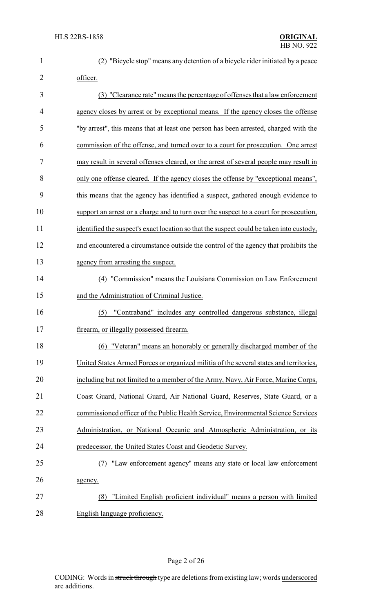| $\mathbf{1}$   | "Bicycle stop" means any detention of a bicycle rider initiated by a peace               |
|----------------|------------------------------------------------------------------------------------------|
| $\overline{2}$ | officer.                                                                                 |
| 3              | (3) "Clearance rate" means the percentage of offenses that a law enforcement             |
| 4              | agency closes by arrest or by exceptional means. If the agency closes the offense        |
| 5              | "by arrest", this means that at least one person has been arrested, charged with the     |
| 6              | commission of the offense, and turned over to a court for prosecution. One arrest        |
| 7              | may result in several offenses cleared, or the arrest of several people may result in    |
| 8              | only one offense cleared. If the agency closes the offense by "exceptional means",       |
| 9              | this means that the agency has identified a suspect, gathered enough evidence to         |
| 10             | support an arrest or a charge and to turn over the suspect to a court for prosecution,   |
| 11             | identified the suspect's exact location so that the suspect could be taken into custody, |
| 12             | and encountered a circumstance outside the control of the agency that prohibits the      |
| 13             | agency from arresting the suspect.                                                       |
| 14             | (4) "Commission" means the Louisiana Commission on Law Enforcement                       |
| 15             | and the Administration of Criminal Justice.                                              |
| 16             | "Contraband" includes any controlled dangerous substance, illegal<br>(5)                 |
| 17             | firearm, or illegally possessed firearm                                                  |
| 18             | (6) "Veteran" means an honorably or generally discharged member of the                   |
| 19             | United States Armed Forces or organized militia of the several states and territories,   |
| 20             | including but not limited to a member of the Army, Navy, Air Force, Marine Corps,        |
| 21             | Coast Guard, National Guard, Air National Guard, Reserves, State Guard, or a             |
| 22             | commissioned officer of the Public Health Service, Environmental Science Services        |
| 23             | Administration, or National Oceanic and Atmospheric Administration, or its               |
| 24             | predecessor, the United States Coast and Geodetic Survey.                                |
| 25             | "Law enforcement agency" means any state or local law enforcement<br>(7)                 |
| 26             | agency.                                                                                  |
| 27             | "Limited English proficient individual" means a person with limited<br>(8)               |
| 28             | English language proficiency.                                                            |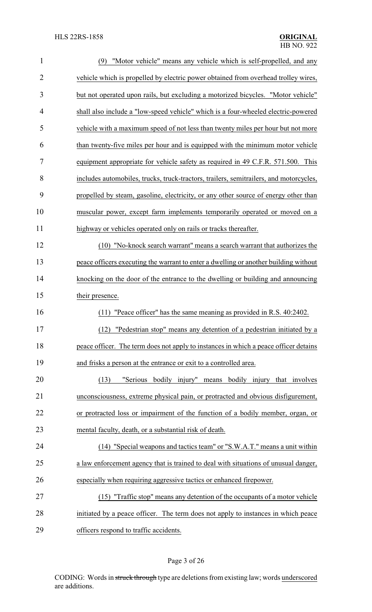| $\mathbf{1}$   | (9) "Motor vehicle" means any vehicle which is self-propelled, and any                 |
|----------------|----------------------------------------------------------------------------------------|
| $\overline{2}$ | vehicle which is propelled by electric power obtained from overhead trolley wires,     |
| 3              | but not operated upon rails, but excluding a motorized bicycles. "Motor vehicle"       |
| 4              | shall also include a "low-speed vehicle" which is a four-wheeled electric-powered      |
| 5              | vehicle with a maximum speed of not less than twenty miles per hour but not more       |
| 6              | than twenty-five miles per hour and is equipped with the minimum motor vehicle         |
| $\tau$         | equipment appropriate for vehicle safety as required in 49 C.F.R. 571.500. This        |
| 8              | includes automobiles, trucks, truck-tractors, trailers, semitrailers, and motorcycles, |
| 9              | propelled by steam, gasoline, electricity, or any other source of energy other than    |
| 10             | muscular power, except farm implements temporarily operated or moved on a              |
| 11             | highway or vehicles operated only on rails or tracks thereafter.                       |
| 12             | (10) "No-knock search warrant" means a search warrant that authorizes the              |
| 13             | peace officers executing the warrant to enter a dwelling or another building without   |
| 14             | knocking on the door of the entrance to the dwelling or building and announcing        |
| 15             | their presence.                                                                        |
| 16             | (11) "Peace officer" has the same meaning as provided in R.S. 40:2402.                 |
| 17             | (12) "Pedestrian stop" means any detention of a pedestrian initiated by a              |
| 18             | peace officer. The term does not apply to instances in which a peace officer detains   |
| 19             | and frisks a person at the entrance or exit to a controlled area.                      |
| 20             | "Serious bodily injury" means bodily injury that involves<br>(13)                      |
| 21             | unconsciousness, extreme physical pain, or protracted and obvious disfigurement,       |
| 22             | or protracted loss or impairment of the function of a bodily member, organ, or         |
| 23             | mental faculty, death, or a substantial risk of death.                                 |
| 24             | (14) "Special weapons and tactics team" or "S.W.A.T." means a unit within              |
| 25             | a law enforcement agency that is trained to deal with situations of unusual danger,    |
| 26             | especially when requiring aggressive tactics or enhanced firepower.                    |
| $27\,$         | (15) "Traffic stop" means any detention of the occupants of a motor vehicle            |
| 28             | initiated by a peace officer. The term does not apply to instances in which peace      |
| 29             | officers respond to traffic accidents.                                                 |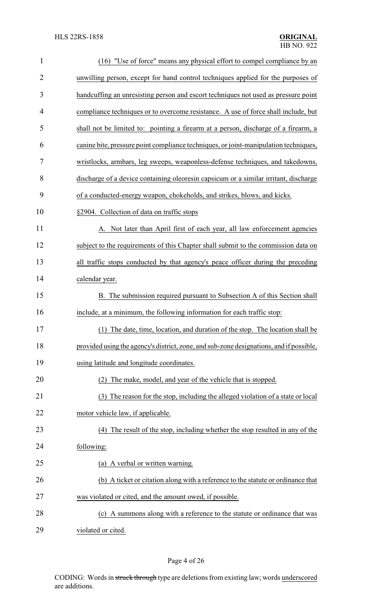| $\mathbf{1}$   | (16) "Use of force" means any physical effort to compel compliance by an                |
|----------------|-----------------------------------------------------------------------------------------|
| $\overline{2}$ | unwilling person, except for hand control techniques applied for the purposes of        |
| 3              | handcuffing an unresisting person and escort techniques not used as pressure point      |
| $\overline{4}$ | compliance techniques or to overcome resistance. A use of force shall include, but      |
| 5              | shall not be limited to: pointing a firearm at a person, discharge of a firearm, a      |
| 6              | canine bite, pressure point compliance techniques, or joint-manipulation techniques,    |
| $\tau$         | wristlocks, armbars, leg sweeps, weaponless-defense techniques, and takedowns,          |
| 8              | discharge of a device containing oleoresin capsicum or a similar irritant, discharge    |
| 9              | of a conducted-energy weapon, chokeholds, and strikes, blows, and kicks.                |
| 10             | §2904. Collection of data on traffic stops                                              |
| 11             | A. Not later than April first of each year, all law enforcement agencies                |
| 12             | subject to the requirements of this Chapter shall submit to the commission data on      |
| 13             | all traffic stops conducted by that agency's peace officer during the preceding         |
| 14             | calendar year.                                                                          |
| 15             | B. The submission required pursuant to Subsection A of this Section shall               |
| 16             | include, at a minimum, the following information for each traffic stop:                 |
| 17             | (1) The date, time, location, and duration of the stop. The location shall be           |
| 18             | provided using the agency's district, zone, and sub-zone designations, and if possible, |
| 19             | using latitude and longitude coordinates.                                               |
| 20             | The make, model, and year of the vehicle that is stopped.<br>(2)                        |
| 21             | The reason for the stop, including the alleged violation of a state or local<br>(3)     |
| 22             | motor vehicle law, if applicable.                                                       |
| 23             | (4) The result of the stop, including whether the stop resulted in any of the           |
| 24             | following:                                                                              |
| 25             | (a) A verbal or written warning.                                                        |
| 26             | (b) A ticket or citation along with a reference to the statute or ordinance that        |
| 27             | was violated or cited, and the amount owed, if possible.                                |
| 28             | A summons along with a reference to the statute or ordinance that was<br>(c)            |
| 29             | violated or cited.                                                                      |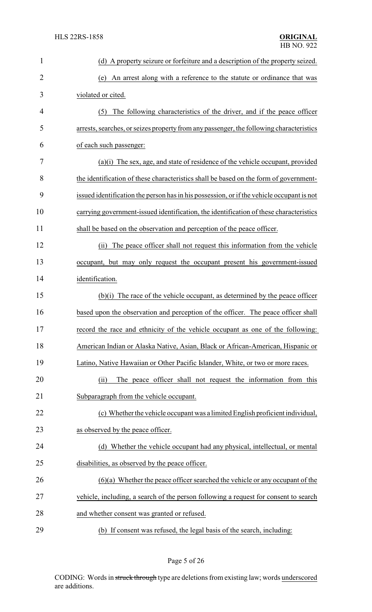| 1              | (d) A property seizure or forfeiture and a description of the property seized.            |
|----------------|-------------------------------------------------------------------------------------------|
| $\overline{2}$ | An arrest along with a reference to the statute or ordinance that was<br>(e)              |
| 3              | violated or cited.                                                                        |
| $\overline{4}$ | The following characteristics of the driver, and if the peace officer<br>(5)              |
| 5              | arrests, searches, or seizes property from any passenger, the following characteristics   |
| 6              | of each such passenger:                                                                   |
| 7              | (a)(i) The sex, age, and state of residence of the vehicle occupant, provided             |
| 8              | the identification of these characteristics shall be based on the form of government-     |
| 9              | issued identification the person has in his possession, or if the vehicle occupant is not |
| 10             | carrying government-issued identification, the identification of these characteristics    |
| 11             | shall be based on the observation and perception of the peace officer.                    |
| 12             | The peace officer shall not request this information from the vehicle<br>(i)              |
| 13             | occupant, but may only request the occupant present his government-issued                 |
| 14             | identification.                                                                           |
| 15             | (b)(i) The race of the vehicle occupant, as determined by the peace officer               |
| 16             | based upon the observation and perception of the officer. The peace officer shall         |
| 17             | record the race and ethnicity of the vehicle occupant as one of the following:            |
| 18             | American Indian or Alaska Native, Asian, Black or African-American, Hispanic or           |
| 19             | Latino, Native Hawaiian or Other Pacific Islander, White, or two or more races.           |
| 20             | The peace officer shall not request the information from this<br>(ii)                     |
| 21             | Subparagraph from the vehicle occupant.                                                   |
| 22             | (c) Whether the vehicle occupant was a limited English proficient individual,             |
| 23             | as observed by the peace officer.                                                         |
| 24             | (d) Whether the vehicle occupant had any physical, intellectual, or mental                |
| 25             | disabilities, as observed by the peace officer.                                           |
| 26             | $(6)(a)$ Whether the peace officer searched the vehicle or any occupant of the            |
| 27             | vehicle, including, a search of the person following a request for consent to search      |
| 28             | and whether consent was granted or refused.                                               |
| 29             | (b) If consent was refused, the legal basis of the search, including:                     |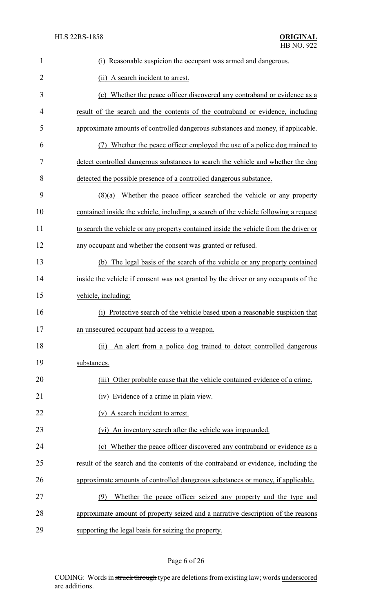| $\mathbf{1}$   | (i) Reasonable suspicion the occupant was armed and dangerous.                        |
|----------------|---------------------------------------------------------------------------------------|
| $\overline{2}$ | (ii) A search incident to arrest.                                                     |
| 3              | (c) Whether the peace officer discovered any contraband or evidence as a              |
| 4              | result of the search and the contents of the contraband or evidence, including        |
| 5              | approximate amounts of controlled dangerous substances and money, if applicable.      |
| 6              | Whether the peace officer employed the use of a police dog trained to<br>(7)          |
| 7              | detect controlled dangerous substances to search the vehicle and whether the dog      |
| 8              | detected the possible presence of a controlled dangerous substance.                   |
| 9              | $(8)(a)$ Whether the peace officer searched the vehicle or any property               |
| 10             | contained inside the vehicle, including, a search of the vehicle following a request  |
| 11             | to search the vehicle or any property contained inside the vehicle from the driver or |
| 12             | any occupant and whether the consent was granted or refused.                          |
| 13             | (b) The legal basis of the search of the vehicle or any property contained            |
| 14             | inside the vehicle if consent was not granted by the driver or any occupants of the   |
| 15             | vehicle, including:                                                                   |
| 16             | Protective search of the vehicle based upon a reasonable suspicion that<br>(i)        |
| 17             | an unsecured occupant had access to a weapon.                                         |
| 18             | An alert from a police dog trained to detect controlled dangerous<br>(ii)             |
| 19             | substances.                                                                           |
| 20             | Other probable cause that the vehicle contained evidence of a crime.<br>(iii)         |
| 21             | (iv) Evidence of a crime in plain view.                                               |
| 22             | A search incident to arrest.<br>(v)                                                   |
| 23             | (vi) An inventory search after the vehicle was impounded.                             |
| 24             | (c) Whether the peace officer discovered any contraband or evidence as a              |
| 25             | result of the search and the contents of the contraband or evidence, including the    |
| 26             | approximate amounts of controlled dangerous substances or money, if applicable.       |
| 27             | Whether the peace officer seized any property and the type and<br>(9)                 |
| 28             | approximate amount of property seized and a narrative description of the reasons      |
| 29             | supporting the legal basis for seizing the property.                                  |

# Page 6 of 26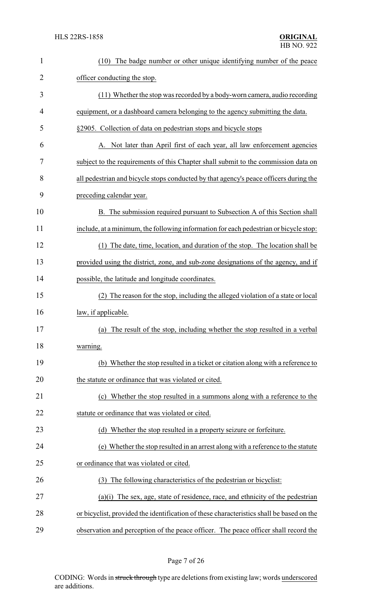| $\mathbf{1}$   | The badge number or other unique identifying number of the peace<br>(10)                 |
|----------------|------------------------------------------------------------------------------------------|
| $\overline{2}$ | officer conducting the stop.                                                             |
| 3              | (11) Whether the stop was recorded by a body-worn camera, audio recording                |
| 4              | equipment, or a dashboard camera belonging to the agency submitting the data.            |
| 5              | §2905. Collection of data on pedestrian stops and bicycle stops                          |
| 6              | A. Not later than April first of each year, all law enforcement agencies                 |
| 7              | subject to the requirements of this Chapter shall submit to the commission data on       |
| 8              | all pedestrian and bicycle stops conducted by that agency's peace officers during the    |
| 9              | preceding calendar year.                                                                 |
| 10             | B. The submission required pursuant to Subsection A of this Section shall                |
| 11             | include, at a minimum, the following information for each pedestrian or bicycle stop:    |
| 12             | (1) The date, time, location, and duration of the stop. The location shall be            |
| 13             | provided using the district, zone, and sub-zone designations of the agency, and if       |
| 14             | possible, the latitude and longitude coordinates.                                        |
| 15             | (2) The reason for the stop, including the alleged violation of a state or local         |
| 16             | law, if applicable.                                                                      |
| 17             | (a) The result of the stop, including whether the stop resulted in a verbal              |
| 18             | warning.                                                                                 |
| 19             | (b) Whether the stop resulted in a ticket or citation along with a reference to          |
| 20             | the statute or ordinance that was violated or cited.                                     |
| 21             | Whether the stop resulted in a summons along with a reference to the<br>(c)              |
| 22             | statute or ordinance that was violated or cited.                                         |
| 23             | (d) Whether the stop resulted in a property seizure or forfeiture.                       |
| 24             | (e) Whether the stop resulted in an arrest along with a reference to the statute         |
| 25             | or ordinance that was violated or cited.                                                 |
| 26             | The following characteristics of the pedestrian or bicyclist:<br>(3)                     |
| 27             | $(a)(i)$ The sex, age, state of residence, race, and ethnicity of the pedestrian         |
| 28             | or bicyclist, provided the identification of these characteristics shall be based on the |
| 29             | observation and perception of the peace officer. The peace officer shall record the      |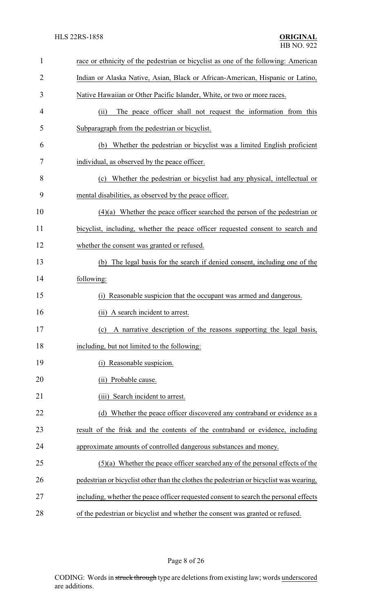| 1              | race or ethnicity of the pedestrian or bicyclist as one of the following: American      |
|----------------|-----------------------------------------------------------------------------------------|
| $\overline{2}$ | Indian or Alaska Native, Asian, Black or African-American, Hispanic or Latino,          |
| 3              | Native Hawaiian or Other Pacific Islander, White, or two or more races.                 |
| 4              | The peace officer shall not request the information from this<br>(ii)                   |
| 5              | Subparagraph from the pedestrian or bicyclist.                                          |
| 6              | Whether the pedestrian or bicyclist was a limited English proficient<br>(b)             |
| 7              | individual, as observed by the peace officer.                                           |
| 8              | (c) Whether the pedestrian or bicyclist had any physical, intellectual or               |
| 9              | mental disabilities, as observed by the peace officer.                                  |
| 10             | $(4)(a)$ Whether the peace officer searched the person of the pedestrian or             |
| 11             | bicyclist, including, whether the peace officer requested consent to search and         |
| 12             | whether the consent was granted or refused.                                             |
| 13             | The legal basis for the search if denied consent, including one of the<br>(b)           |
| 14             | following:                                                                              |
| 15             | Reasonable suspicion that the occupant was armed and dangerous.<br>(1)                  |
| 16             | (ii) A search incident to arrest.                                                       |
| 17             | (c) A narrative description of the reasons supporting the legal basis,                  |
| 18             | including, but not limited to the following:                                            |
| 19             | Reasonable suspicion.<br>(1)                                                            |
| 20             | Probable cause.<br>(ii)                                                                 |
| 21             | Search incident to arrest.<br>(iii)                                                     |
| 22             | (d) Whether the peace officer discovered any contraband or evidence as a                |
| 23             | result of the frisk and the contents of the contraband or evidence, including           |
| 24             | approximate amounts of controlled dangerous substances and money.                       |
| 25             | $(5)(a)$ Whether the peace officer searched any of the personal effects of the          |
| 26             | pedestrian or bicyclist other than the clothes the pedestrian or bicyclist was wearing, |
| 27             | including, whether the peace officer requested consent to search the personal effects   |
| 28             | of the pedestrian or bicyclist and whether the consent was granted or refused.          |

Page 8 of 26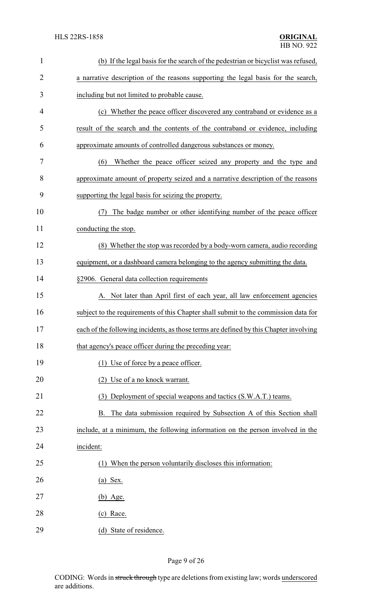| $\mathbf{1}$   | (b) If the legal basis for the search of the pedestrian or bicyclist was refused,     |
|----------------|---------------------------------------------------------------------------------------|
| $\overline{2}$ | a narrative description of the reasons supporting the legal basis for the search,     |
| 3              | including but not limited to probable cause.                                          |
| 4              | (c) Whether the peace officer discovered any contraband or evidence as a              |
| 5              | result of the search and the contents of the contraband or evidence, including        |
| 6              | approximate amounts of controlled dangerous substances or money.                      |
| 7              | Whether the peace officer seized any property and the type and<br>(6)                 |
| 8              | approximate amount of property seized and a narrative description of the reasons      |
| 9              | supporting the legal basis for seizing the property.                                  |
| 10             | The badge number or other identifying number of the peace officer<br>(7)              |
| 11             | conducting the stop.                                                                  |
| 12             | (8) Whether the stop was recorded by a body-worn camera, audio recording              |
| 13             | equipment, or a dashboard camera belonging to the agency submitting the data.         |
| 14             | §2906. General data collection requirements                                           |
| 15             | A. Not later than April first of each year, all law enforcement agencies              |
| 16             | subject to the requirements of this Chapter shall submit to the commission data for   |
| 17             | each of the following incidents, as those terms are defined by this Chapter involving |
| 18             | that agency's peace officer during the preceding year:                                |
| 19             | (1) Use of force by a peace officer.                                                  |
| 20             | (2) Use of a no knock warrant.                                                        |
| 21             | Deployment of special weapons and tactics (S.W.A.T.) teams.<br>(3)                    |
| 22             | The data submission required by Subsection A of this Section shall<br>B.              |
| 23             | include, at a minimum, the following information on the person involved in the        |
| 24             | incident:                                                                             |
| 25             | (1) When the person voluntarily discloses this information:                           |
| 26             | $(a)$ Sex.                                                                            |
| 27             | $(b)$ Age.                                                                            |
| 28             | $(c)$ Race.                                                                           |
| 29             | (d) State of residence.                                                               |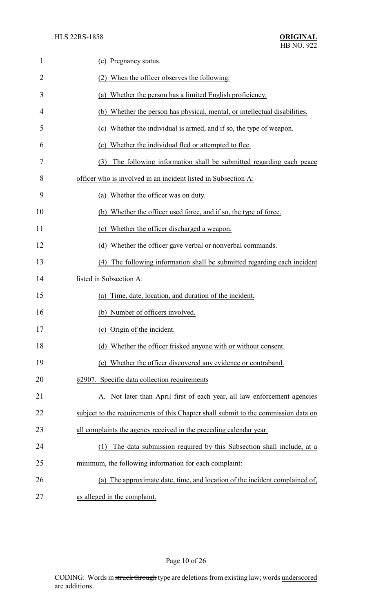| $\mathbf{1}$   | (e) Pregnancy status.                                                              |
|----------------|------------------------------------------------------------------------------------|
| $\overline{2}$ | (2) When the officer observes the following:                                       |
| 3              | Whether the person has a limited English proficiency.<br>(a)                       |
| 4              | (b) Whether the person has physical, mental, or intellectual disabilities.         |
| 5              | (c) Whether the individual is armed, and if so, the type of weapon.                |
| 6              | (c) Whether the individual fled or attempted to flee.                              |
| 7              | The following information shall be submitted regarding each peace<br>(3)           |
| 8              | officer who is involved in an incident listed in Subsection A:                     |
| 9              | Whether the officer was on duty.<br>(a)                                            |
| 10             | (b) Whether the officer used force, and if so, the type of force.                  |
| 11             | (c) Whether the officer discharged a weapon.                                       |
| 12             | (d) Whether the officer gave verbal or nonverbal commands.                         |
| 13             | The following information shall be submitted regarding each incident<br>(4)        |
| 14             | listed in Subsection A:                                                            |
| 15             | Time, date, location, and duration of the incident.<br>(a)                         |
| 16             | (b) Number of officers involved.                                                   |
| 17             | (c) Origin of the incident.                                                        |
| 18             | (d) Whether the officer frisked anyone with or without consent.                    |
| 19             | Whether the officer discovered any evidence or contraband.<br>(e)                  |
| 20             | §2907. Specific data collection requirements                                       |
| 21             | Not later than April first of each year, all law enforcement agencies              |
| 22             | subject to the requirements of this Chapter shall submit to the commission data on |
| 23             | all complaints the agency received in the preceding calendar year.                 |
| 24             | The data submission required by this Subsection shall include, at a<br>(1)         |
| 25             | minimum, the following information for each complaint:                             |
| 26             | (a) The approximate date, time, and location of the incident complained of,        |
| 27             | as alleged in the complaint.                                                       |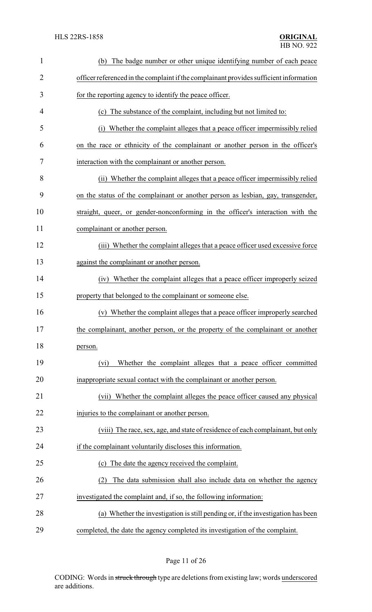| $\mathbf{1}$   | The badge number or other unique identifying number of each peace<br>(b)               |
|----------------|----------------------------------------------------------------------------------------|
| $\overline{2}$ | officer referenced in the complaint if the complainant provides sufficient information |
| 3              | for the reporting agency to identify the peace officer.                                |
| 4              | (c) The substance of the complaint, including but not limited to:                      |
| 5              | Whether the complaint alleges that a peace officer impermissibly relied<br>(i)         |
| 6              | on the race or ethnicity of the complainant or another person in the officer's         |
| 7              | interaction with the complainant or another person.                                    |
| 8              | (ii) Whether the complaint alleges that a peace officer impermissibly relied           |
| 9              | on the status of the complainant or another person as lesbian, gay, transgender,       |
| 10             | straight, queer, or gender-nonconforming in the officer's interaction with the         |
| 11             | complainant or another person.                                                         |
| 12             | (iii) Whether the complaint alleges that a peace officer used excessive force          |
| 13             | against the complainant or another person.                                             |
| 14             | (iv) Whether the complaint alleges that a peace officer improperly seized              |
| 15             | property that belonged to the complainant or someone else.                             |
| 16             | Whether the complaint alleges that a peace officer improperly searched<br>(v)          |
| 17             | the complainant, another person, or the property of the complainant or another         |
| 18             | person.                                                                                |
| 19             | Whether the complaint alleges that a peace officer committed<br>(vi)                   |
| 20             | inappropriate sexual contact with the complainant or another person.                   |
| 21             | (vii) Whether the complaint alleges the peace officer caused any physical              |
| 22             | injuries to the complainant or another person.                                         |
| 23             | (viii) The race, sex, age, and state of residence of each complainant, but only        |
| 24             | if the complainant voluntarily discloses this information.                             |
| 25             | (c) The date the agency received the complaint.                                        |
| 26             | The data submission shall also include data on whether the agency<br>(2)               |
| 27             | investigated the complaint and, if so, the following information:                      |
| 28             | (a) Whether the investigation is still pending or, if the investigation has been       |
| 29             | completed, the date the agency completed its investigation of the complaint.           |

Page 11 of 26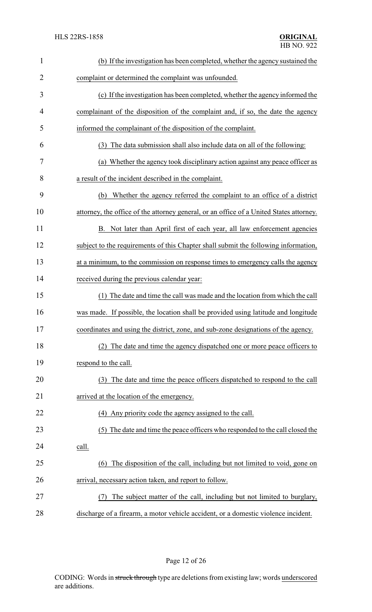| $\mathbf{1}$ | (b) If the investigation has been completed, whether the agency sustained the           |
|--------------|-----------------------------------------------------------------------------------------|
| 2            | complaint or determined the complaint was unfounded.                                    |
| 3            | (c) If the investigation has been completed, whether the agency informed the            |
| 4            | complainant of the disposition of the complaint and, if so, the date the agency         |
| 5            | informed the complainant of the disposition of the complaint.                           |
| 6            | The data submission shall also include data on all of the following:<br>(3)             |
| 7            | (a) Whether the agency took disciplinary action against any peace officer as            |
| 8            | a result of the incident described in the complaint.                                    |
| 9            | (b) Whether the agency referred the complaint to an office of a district                |
| 10           | attorney, the office of the attorney general, or an office of a United States attorney. |
| 11           | B. Not later than April first of each year, all law enforcement agencies                |
| 12           | subject to the requirements of this Chapter shall submit the following information,     |
| 13           | at a minimum, to the commission on response times to emergency calls the agency         |
| 14           | received during the previous calendar year:                                             |
| 15           | (1) The date and time the call was made and the location from which the call            |
| 16           | was made. If possible, the location shall be provided using latitude and longitude      |
| 17           | coordinates and using the district, zone, and sub-zone designations of the agency.      |
| 18           | The date and time the agency dispatched one or more peace officers to<br>(2)            |
| 19           | respond to the call.                                                                    |
| 20           | The date and time the peace officers dispatched to respond to the call<br>(3)           |
| 21           | arrived at the location of the emergency.                                               |
| 22           | (4) Any priority code the agency assigned to the call.                                  |
| 23           | (5) The date and time the peace officers who responded to the call closed the           |
| 24           | call.                                                                                   |
| 25           | The disposition of the call, including but not limited to void, gone on<br>(6)          |
| 26           | arrival, necessary action taken, and report to follow.                                  |
| 27           | The subject matter of the call, including but not limited to burglary,<br>(7)           |
| 28           | discharge of a firearm, a motor vehicle accident, or a domestic violence incident.      |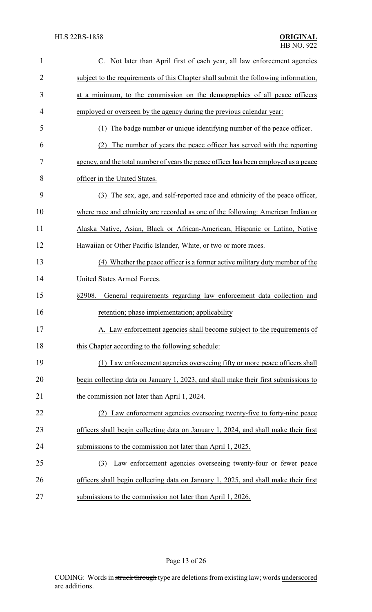| 1              | C. Not later than April first of each year, all law enforcement agencies             |
|----------------|--------------------------------------------------------------------------------------|
| $\overline{2}$ | subject to the requirements of this Chapter shall submit the following information,  |
| 3              | at a minimum, to the commission on the demographics of all peace officers            |
| 4              | employed or overseen by the agency during the previous calendar year:                |
| 5              | The badge number or unique identifying number of the peace officer.<br>(1)           |
| 6              | The number of years the peace officer has served with the reporting<br>(2)           |
| 7              | agency, and the total number of years the peace officer has been employed as a peace |
| 8              | officer in the United States.                                                        |
| 9              | The sex, age, and self-reported race and ethnicity of the peace officer,<br>(3)      |
| 10             | where race and ethnicity are recorded as one of the following: American Indian or    |
| 11             | Alaska Native, Asian, Black or African-American, Hispanic or Latino, Native          |
| 12             | Hawaiian or Other Pacific Islander, White, or two or more races.                     |
| 13             | (4) Whether the peace officer is a former active military duty member of the         |
| 14             | United States Armed Forces.                                                          |
| 15             | §2908.<br>General requirements regarding law enforcement data collection and         |
| 16             | retention; phase implementation; applicability                                       |
| 17             | A. Law enforcement agencies shall become subject to the requirements of              |
| 18             | this Chapter according to the following schedule:                                    |
| 19             | (1) Law enforcement agencies overseeing fifty or more peace officers shall           |
| 20             | begin collecting data on January 1, 2023, and shall make their first submissions to  |
| 21             | the commission not later than April 1, 2024.                                         |
| 22             | (2) Law enforcement agencies overseeing twenty-five to forty-nine peace              |
| 23             | officers shall begin collecting data on January 1, 2024, and shall make their first  |
| 24             | submissions to the commission not later than April 1, 2025.                          |
| 25             | Law enforcement agencies overseeing twenty-four or fewer peace<br>(3)                |
| 26             | officers shall begin collecting data on January 1, 2025, and shall make their first  |
| 27             | submissions to the commission not later than April 1, 2026.                          |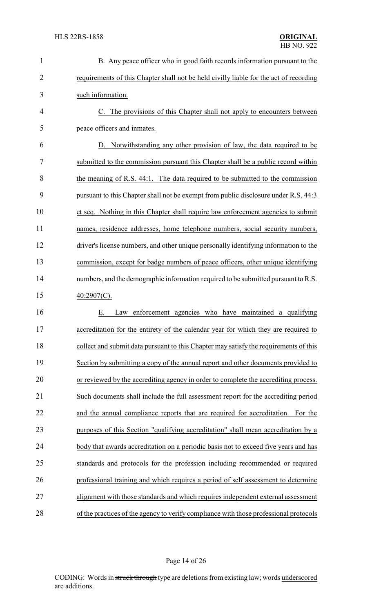| $\mathbf{1}$   | B. Any peace officer who in good faith records information pursuant to the             |
|----------------|----------------------------------------------------------------------------------------|
| $\overline{2}$ | requirements of this Chapter shall not be held civilly liable for the act of recording |
| 3              | such information.                                                                      |
| $\overline{4}$ | C. The provisions of this Chapter shall not apply to encounters between                |
| 5              | peace officers and inmates.                                                            |
| 6              | D. Notwithstanding any other provision of law, the data required to be                 |
| 7              | submitted to the commission pursuant this Chapter shall be a public record within      |
| 8              | the meaning of R.S. 44:1. The data required to be submitted to the commission          |
| 9              | pursuant to this Chapter shall not be exempt from public disclosure under R.S. 44:3    |
| 10             | et seq. Nothing in this Chapter shall require law enforcement agencies to submit       |
| 11             | names, residence addresses, home telephone numbers, social security numbers,           |
| 12             | driver's license numbers, and other unique personally identifying information to the   |
| 13             | commission, except for badge numbers of peace officers, other unique identifying       |
| 14             | numbers, and the demographic information required to be submitted pursuant to R.S.     |
| 15             | $40:2907(C)$ .                                                                         |
| 16             | Law enforcement agencies who have maintained a qualifying<br>Е.                        |
| 17             | accreditation for the entirety of the calendar year for which they are required to     |
| 18             | collect and submit data pursuant to this Chapter may satisfy the requirements of this  |
| 19             | Section by submitting a copy of the annual report and other documents provided to      |
| 20             | or reviewed by the accrediting agency in order to complete the accrediting process.    |
| 21             | Such documents shall include the full assessment report for the accrediting period     |
| 22             | and the annual compliance reports that are required for accreditation.<br>For the      |
| 23             | purposes of this Section "qualifying accreditation" shall mean accreditation by a      |
| 24             | body that awards accreditation on a periodic basis not to exceed five years and has    |
| 25             | standards and protocols for the profession including recommended or required           |
| 26             | professional training and which requires a period of self assessment to determine      |
| 27             | alignment with those standards and which requires independent external assessment      |
| 28             | of the practices of the agency to verify compliance with those professional protocols  |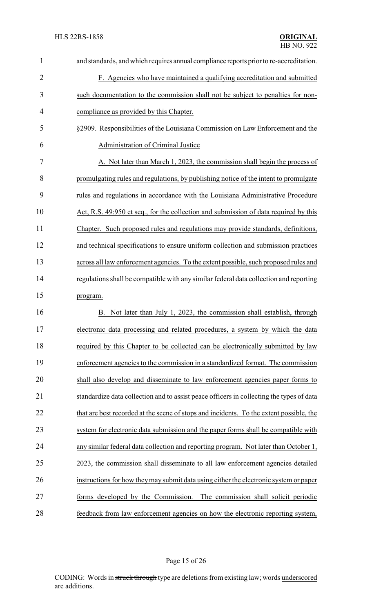| $\overline{2}$<br>F. Agencies who have maintained a qualifying accreditation and submitted<br>3<br>such documentation to the commission shall not be subject to penalties for non-<br>4<br>compliance as provided by this Chapter.<br>5<br>§2909. Responsibilities of the Louisiana Commission on Law Enforcement and the<br>6<br>Administration of Criminal Justice<br>7<br>A. Not later than March 1, 2023, the commission shall begin the process of<br>8<br>promulgating rules and regulations, by publishing notice of the intent to promulgate<br>9<br>rules and regulations in accordance with the Louisiana Administrative Procedure<br>10<br>Act, R.S. 49:950 et seq., for the collection and submission of data required by this<br>11<br>Chapter. Such proposed rules and regulations may provide standards, definitions, |                                       |
|--------------------------------------------------------------------------------------------------------------------------------------------------------------------------------------------------------------------------------------------------------------------------------------------------------------------------------------------------------------------------------------------------------------------------------------------------------------------------------------------------------------------------------------------------------------------------------------------------------------------------------------------------------------------------------------------------------------------------------------------------------------------------------------------------------------------------------------|---------------------------------------|
|                                                                                                                                                                                                                                                                                                                                                                                                                                                                                                                                                                                                                                                                                                                                                                                                                                      |                                       |
|                                                                                                                                                                                                                                                                                                                                                                                                                                                                                                                                                                                                                                                                                                                                                                                                                                      |                                       |
|                                                                                                                                                                                                                                                                                                                                                                                                                                                                                                                                                                                                                                                                                                                                                                                                                                      |                                       |
|                                                                                                                                                                                                                                                                                                                                                                                                                                                                                                                                                                                                                                                                                                                                                                                                                                      |                                       |
|                                                                                                                                                                                                                                                                                                                                                                                                                                                                                                                                                                                                                                                                                                                                                                                                                                      |                                       |
|                                                                                                                                                                                                                                                                                                                                                                                                                                                                                                                                                                                                                                                                                                                                                                                                                                      |                                       |
|                                                                                                                                                                                                                                                                                                                                                                                                                                                                                                                                                                                                                                                                                                                                                                                                                                      |                                       |
|                                                                                                                                                                                                                                                                                                                                                                                                                                                                                                                                                                                                                                                                                                                                                                                                                                      |                                       |
|                                                                                                                                                                                                                                                                                                                                                                                                                                                                                                                                                                                                                                                                                                                                                                                                                                      |                                       |
|                                                                                                                                                                                                                                                                                                                                                                                                                                                                                                                                                                                                                                                                                                                                                                                                                                      |                                       |
| 12<br>and technical specifications to ensure uniform collection and submission practices                                                                                                                                                                                                                                                                                                                                                                                                                                                                                                                                                                                                                                                                                                                                             |                                       |
| 13<br>across all law enforcement agencies. To the extent possible, such proposed rules and                                                                                                                                                                                                                                                                                                                                                                                                                                                                                                                                                                                                                                                                                                                                           |                                       |
| 14<br>regulations shall be compatible with any similar federal data collection and reporting                                                                                                                                                                                                                                                                                                                                                                                                                                                                                                                                                                                                                                                                                                                                         |                                       |
| 15<br>program.                                                                                                                                                                                                                                                                                                                                                                                                                                                                                                                                                                                                                                                                                                                                                                                                                       |                                       |
| 16<br>Not later than July 1, 2023, the commission shall establish, through<br>В.                                                                                                                                                                                                                                                                                                                                                                                                                                                                                                                                                                                                                                                                                                                                                     |                                       |
| 17<br>electronic data processing and related procedures, a system by which the data                                                                                                                                                                                                                                                                                                                                                                                                                                                                                                                                                                                                                                                                                                                                                  |                                       |
| 18<br>required by this Chapter to be collected can be electronically submitted by law                                                                                                                                                                                                                                                                                                                                                                                                                                                                                                                                                                                                                                                                                                                                                |                                       |
|                                                                                                                                                                                                                                                                                                                                                                                                                                                                                                                                                                                                                                                                                                                                                                                                                                      |                                       |
| enforcement agencies to the commission in a standardized format. The commission                                                                                                                                                                                                                                                                                                                                                                                                                                                                                                                                                                                                                                                                                                                                                      |                                       |
| shall also develop and disseminate to law enforcement agencies paper forms to                                                                                                                                                                                                                                                                                                                                                                                                                                                                                                                                                                                                                                                                                                                                                        |                                       |
| standardize data collection and to assist peace officers in collecting the types of data                                                                                                                                                                                                                                                                                                                                                                                                                                                                                                                                                                                                                                                                                                                                             |                                       |
| that are best recorded at the scene of stops and incidents. To the extent possible, the                                                                                                                                                                                                                                                                                                                                                                                                                                                                                                                                                                                                                                                                                                                                              |                                       |
| system for electronic data submission and the paper forms shall be compatible with                                                                                                                                                                                                                                                                                                                                                                                                                                                                                                                                                                                                                                                                                                                                                   |                                       |
| any similar federal data collection and reporting program. Not later than October 1,                                                                                                                                                                                                                                                                                                                                                                                                                                                                                                                                                                                                                                                                                                                                                 |                                       |
| 2023, the commission shall disseminate to all law enforcement agencies detailed                                                                                                                                                                                                                                                                                                                                                                                                                                                                                                                                                                                                                                                                                                                                                      |                                       |
| instructions for how they may submit data using either the electronic system or paper                                                                                                                                                                                                                                                                                                                                                                                                                                                                                                                                                                                                                                                                                                                                                |                                       |
| 19<br>20<br>21<br>22<br>23<br>24<br>25<br>26<br>27<br>forms developed by the Commission.                                                                                                                                                                                                                                                                                                                                                                                                                                                                                                                                                                                                                                                                                                                                             | The commission shall solicit periodic |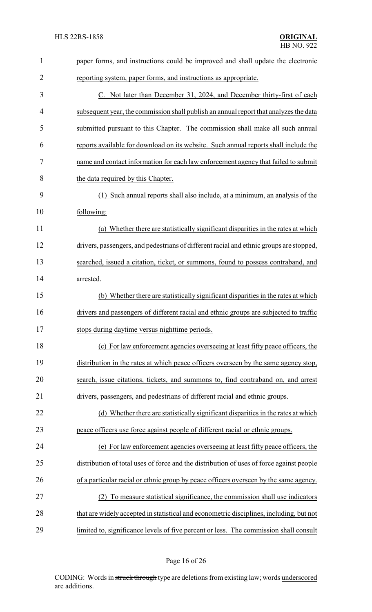| $\mathbf{1}$ | paper forms, and instructions could be improved and shall update the electronic          |
|--------------|------------------------------------------------------------------------------------------|
| 2            | reporting system, paper forms, and instructions as appropriate.                          |
| 3            | C. Not later than December 31, 2024, and December thirty-first of each                   |
| 4            | subsequent year, the commission shall publish an annual report that analyzes the data    |
| 5            | submitted pursuant to this Chapter. The commission shall make all such annual            |
| 6            | reports available for download on its website. Such annual reports shall include the     |
| 7            | name and contact information for each law enforcement agency that failed to submit       |
| 8            | the data required by this Chapter.                                                       |
| 9            | (1) Such annual reports shall also include, at a minimum, an analysis of the             |
| 10           | following:                                                                               |
| 11           | (a) Whether there are statistically significant disparities in the rates at which        |
| 12           | drivers, passengers, and pedestrians of different racial and ethnic groups are stopped,  |
| 13           | searched, issued a citation, ticket, or summons, found to possess contraband, and        |
| 14           | arrested.                                                                                |
| 15           | (b) Whether there are statistically significant disparities in the rates at which        |
| 16           | drivers and passengers of different racial and ethnic groups are subjected to traffic    |
| 17           | stops during daytime versus nighttime periods.                                           |
| 18           | (c) For law enforcement agencies overseeing at least fifty peace officers, the           |
| 19           | distribution in the rates at which peace officers overseen by the same agency stop,      |
| 20           | search, issue citations, tickets, and summons to, find contraband on, and arrest         |
| 21           | drivers, passengers, and pedestrians of different racial and ethnic groups.              |
| 22           | (d) Whether there are statistically significant disparities in the rates at which        |
| 23           | peace officers use force against people of different racial or ethnic groups.            |
| 24           | (e) For law enforcement agencies overseeing at least fifty peace officers, the           |
| 25           | distribution of total uses of force and the distribution of uses of force against people |
| 26           | of a particular racial or ethnic group by peace officers overseen by the same agency.    |
| 27           | (2) To measure statistical significance, the commission shall use indicators             |
| 28           | that are widely accepted in statistical and econometric disciplines, including, but not  |
| 29           | limited to, significance levels of five percent or less. The commission shall consult    |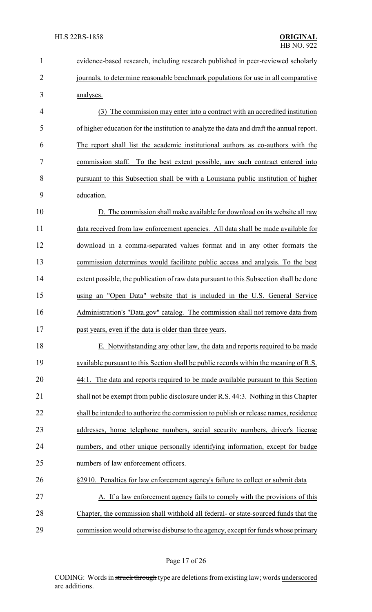| $\mathbf{1}$   | evidence-based research, including research published in peer-reviewed scholarly         |
|----------------|------------------------------------------------------------------------------------------|
| $\overline{2}$ | journals, to determine reasonable benchmark populations for use in all comparative       |
| 3              | analyses.                                                                                |
| 4              | (3) The commission may enter into a contract with an accredited institution              |
| 5              | of higher education for the institution to analyze the data and draft the annual report. |
| 6              | The report shall list the academic institutional authors as co-authors with the          |
| 7              | commission staff. To the best extent possible, any such contract entered into            |
| 8              | pursuant to this Subsection shall be with a Louisiana public institution of higher       |
| 9              | education.                                                                               |
| 10             | D. The commission shall make available for download on its website all raw               |
| 11             | data received from law enforcement agencies. All data shall be made available for        |
| 12             | download in a comma-separated values format and in any other formats the                 |
| 13             | commission determines would facilitate public access and analysis. To the best           |
| 14             | extent possible, the publication of raw data pursuant to this Subsection shall be done   |
| 15             | using an "Open Data" website that is included in the U.S. General Service                |
| 16             | Administration's "Data.gov" catalog. The commission shall not remove data from           |
| 17             | past years, even if the data is older than three years.                                  |
| 18             | E. Notwithstanding any other law, the data and reports required to be made               |
| 19             | available pursuant to this Section shall be public records within the meaning of R.S.    |
| 20             | 44:1. The data and reports required to be made available pursuant to this Section        |
| 21             | shall not be exempt from public disclosure under R.S. 44:3. Nothing in this Chapter      |
| 22             | shall be intended to authorize the commission to publish or release names, residence     |
| 23             | addresses, home telephone numbers, social security numbers, driver's license             |
| 24             | numbers, and other unique personally identifying information, except for badge           |
| 25             | numbers of law enforcement officers.                                                     |
| 26             | §2910. Penalties for law enforcement agency's failure to collect or submit data          |
| 27             | A. If a law enforcement agency fails to comply with the provisions of this               |
| 28             | Chapter, the commission shall withhold all federal- or state-sourced funds that the      |
| 29             | commission would otherwise disburse to the agency, except for funds whose primary        |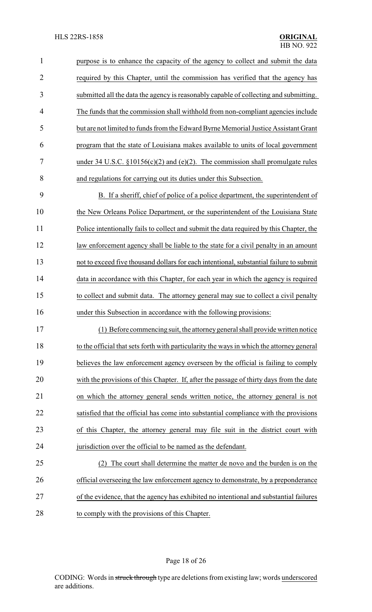| $\mathbf{1}$   | purpose is to enhance the capacity of the agency to collect and submit the data           |
|----------------|-------------------------------------------------------------------------------------------|
| $\overline{2}$ | required by this Chapter, until the commission has verified that the agency has           |
| 3              | submitted all the data the agency is reasonably capable of collecting and submitting.     |
| $\overline{4}$ | The funds that the commission shall withhold from non-compliant agencies include          |
| 5              | but are not limited to funds from the Edward Byrne Memorial Justice Assistant Grant       |
| 6              | program that the state of Louisiana makes available to units of local government          |
| 7              | under 34 U.S.C. $\S 10156(c)(2)$ and (e)(2). The commission shall promulgate rules        |
| 8              | and regulations for carrying out its duties under this Subsection.                        |
| 9              | B. If a sheriff, chief of police of a police department, the superintendent of            |
| 10             | the New Orleans Police Department, or the superintendent of the Louisiana State           |
| 11             | Police intentionally fails to collect and submit the data required by this Chapter, the   |
| 12             | law enforcement agency shall be liable to the state for a civil penalty in an amount      |
| 13             | not to exceed five thousand dollars for each intentional, substantial failure to submit   |
| 14             | data in accordance with this Chapter, for each year in which the agency is required       |
| 15             | to collect and submit data. The attorney general may sue to collect a civil penalty       |
| 16             | under this Subsection in accordance with the following provisions:                        |
| 17             | (1) Before commencing suit, the attorney general shall provide written notice             |
| 18             | to the official that sets forth with particularity the ways in which the attorney general |
| 19             | believes the law enforcement agency overseen by the official is failing to comply         |
| 20             | with the provisions of this Chapter. If, after the passage of thirty days from the date   |
| 21             | on which the attorney general sends written notice, the attorney general is not           |
| 22             | satisfied that the official has come into substantial compliance with the provisions      |
| 23             | of this Chapter, the attorney general may file suit in the district court with            |
| 24             | jurisdiction over the official to be named as the defendant.                              |
| 25             | The court shall determine the matter de novo and the burden is on the                     |
| 26             | official overseeing the law enforcement agency to demonstrate, by a preponderance         |
| 27             | of the evidence, that the agency has exhibited no intentional and substantial failures    |
| 28             | to comply with the provisions of this Chapter.                                            |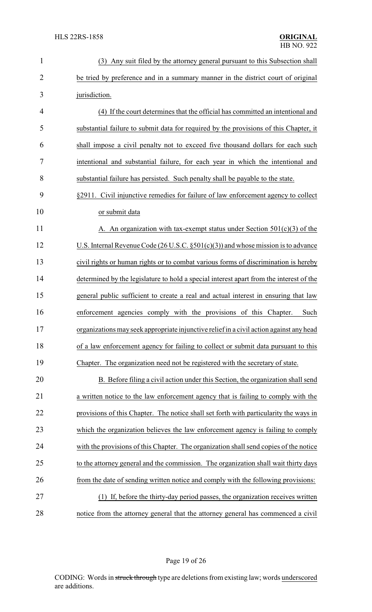| $\mathbf{1}$   | (3) Any suit filed by the attorney general pursuant to this Subsection shall            |
|----------------|-----------------------------------------------------------------------------------------|
| $\overline{2}$ | be tried by preference and in a summary manner in the district court of original        |
| 3              | jurisdiction.                                                                           |
| 4              | (4) If the court determines that the official has committed an intentional and          |
| 5              | substantial failure to submit data for required by the provisions of this Chapter, it   |
| 6              | shall impose a civil penalty not to exceed five thousand dollars for each such          |
| 7              | intentional and substantial failure, for each year in which the intentional and         |
| 8              | substantial failure has persisted. Such penalty shall be payable to the state.          |
| 9              | §2911. Civil injunctive remedies for failure of law enforcement agency to collect       |
| 10             | or submit data                                                                          |
| 11             | A. An organization with tax-exempt status under Section $501(c)(3)$ of the              |
| 12             | U.S. Internal Revenue Code $(26$ U.S.C. $\S501(c)(3)$ and whose mission is to advance   |
| 13             | civil rights or human rights or to combat various forms of discrimination is hereby     |
| 14             | determined by the legislature to hold a special interest apart from the interest of the |
| 15             | general public sufficient to create a real and actual interest in ensuring that law     |
| 16             | enforcement agencies comply with the provisions of this Chapter.<br>Such                |
| 17             | organizations may seek appropriate injunctive relief in a civil action against any head |
| 18             | of a law enforcement agency for failing to collect or submit data pursuant to this      |
| 19             | Chapter. The organization need not be registered with the secretary of state.           |
| 20             | B. Before filing a civil action under this Section, the organization shall send         |
| 21             | a written notice to the law enforcement agency that is failing to comply with the       |
| 22             | provisions of this Chapter. The notice shall set forth with particularity the ways in   |
| 23             | which the organization believes the law enforcement agency is failing to comply         |
| 24             | with the provisions of this Chapter. The organization shall send copies of the notice   |
| 25             | to the attorney general and the commission. The organization shall wait thirty days     |
| 26             | from the date of sending written notice and comply with the following provisions:       |
| 27             | (1) If, before the thirty-day period passes, the organization receives written          |
| 28             | notice from the attorney general that the attorney general has commenced a civil        |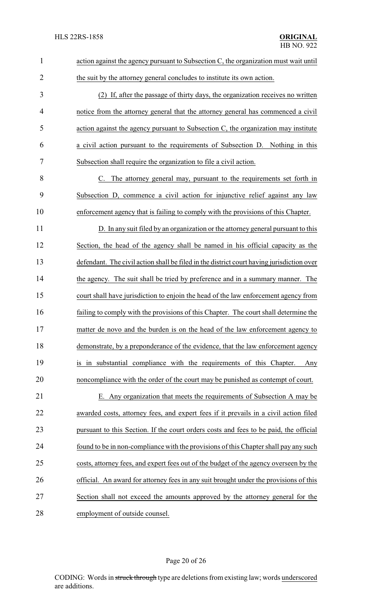| $\mathbf{1}$   | action against the agency pursuant to Subsection C, the organization must wait until      |
|----------------|-------------------------------------------------------------------------------------------|
| $\overline{2}$ | the suit by the attorney general concludes to institute its own action.                   |
| 3              | (2) If, after the passage of thirty days, the organization receives no written            |
| 4              | notice from the attorney general that the attorney general has commenced a civil          |
| 5              | action against the agency pursuant to Subsection C, the organization may institute        |
| 6              | a civil action pursuant to the requirements of Subsection D. Nothing in this              |
| 7              | Subsection shall require the organization to file a civil action.                         |
| 8              | C. The attorney general may, pursuant to the requirements set forth in                    |
| 9              | Subsection D, commence a civil action for injunctive relief against any law               |
| 10             | enforcement agency that is failing to comply with the provisions of this Chapter.         |
| 11             | D. In any suit filed by an organization or the attorney general pursuant to this          |
| 12             | Section, the head of the agency shall be named in his official capacity as the            |
| 13             | defendant. The civil action shall be filed in the district court having jurisdiction over |
| 14             | the agency. The suit shall be tried by preference and in a summary manner. The            |
| 15             | court shall have jurisdiction to enjoin the head of the law enforcement agency from       |
| 16             | failing to comply with the provisions of this Chapter. The court shall determine the      |
| 17             | matter de novo and the burden is on the head of the law enforcement agency to             |
| 18             | demonstrate, by a preponderance of the evidence, that the law enforcement agency          |
| 19             | is in substantial compliance with the requirements of this Chapter.<br>Any                |
| 20             | noncompliance with the order of the court may be punished as contempt of court.           |
| 21             | E. Any organization that meets the requirements of Subsection A may be                    |
| 22             | awarded costs, attorney fees, and expert fees if it prevails in a civil action filed      |
| 23             | pursuant to this Section. If the court orders costs and fees to be paid, the official     |
| 24             | found to be in non-compliance with the provisions of this Chapter shall pay any such      |
| 25             | costs, attorney fees, and expert fees out of the budget of the agency overseen by the     |
| 26             | official. An award for attorney fees in any suit brought under the provisions of this     |
| 27             | Section shall not exceed the amounts approved by the attorney general for the             |
| 28             | employment of outside counsel.                                                            |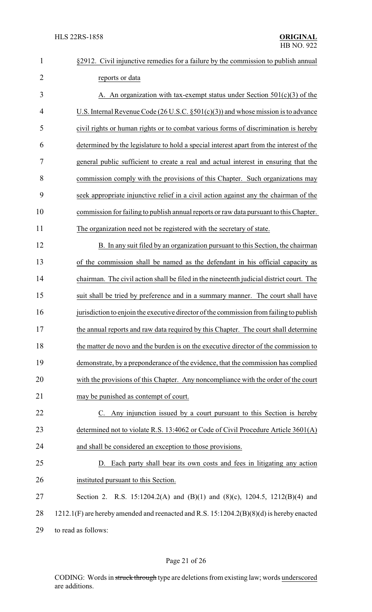| $\mathbf{1}$   | §2912. Civil injunctive remedies for a failure by the commission to publish annual       |
|----------------|------------------------------------------------------------------------------------------|
| $\overline{2}$ | reports or data                                                                          |
| 3              | A. An organization with tax-exempt status under Section $501(c)(3)$ of the               |
| 4              | U.S. Internal Revenue Code (26 U.S.C. $\S501(c)(3)$ ) and whose mission is to advance    |
| 5              | civil rights or human rights or to combat various forms of discrimination is hereby      |
| 6              | determined by the legislature to hold a special interest apart from the interest of the  |
| 7              | general public sufficient to create a real and actual interest in ensuring that the      |
| 8              | commission comply with the provisions of this Chapter. Such organizations may            |
| 9              | seek appropriate injunctive relief in a civil action against any the chairman of the     |
| 10             | commission for failing to publish annual reports or raw data pursuant to this Chapter.   |
| 11             | The organization need not be registered with the secretary of state.                     |
| 12             | B. In any suit filed by an organization pursuant to this Section, the chairman           |
| 13             | of the commission shall be named as the defendant in his official capacity as            |
| 14             | chairman. The civil action shall be filed in the nineteenth judicial district court. The |
| 15             | suit shall be tried by preference and in a summary manner. The court shall have          |
| 16             | jurisdiction to enjoin the executive director of the commission from failing to publish  |
| 17             | the annual reports and raw data required by this Chapter. The court shall determine      |
| 18             | the matter de novo and the burden is on the executive director of the commission to      |
| 19             | demonstrate, by a preponderance of the evidence, that the commission has complied        |
| 20             | with the provisions of this Chapter. Any noncompliance with the order of the court       |
| 21             | may be punished as contempt of court.                                                    |
| 22             | C. Any injunction issued by a court pursuant to this Section is hereby                   |
| 23             | determined not to violate R.S. 13:4062 or Code of Civil Procedure Article 3601(A)        |
| 24             | and shall be considered an exception to those provisions.                                |
| 25             | D. Each party shall bear its own costs and fees in litigating any action                 |
| 26             | instituted pursuant to this Section.                                                     |
| 27             | Section 2. R.S. 15:1204.2(A) and (B)(1) and (8)(c), 1204.5, 1212(B)(4) and               |
| 28             | 1212.1(F) are hereby amended and reenacted and R.S. 15:1204.2(B)(8)(d) is hereby enacted |
| 29             | to read as follows:                                                                      |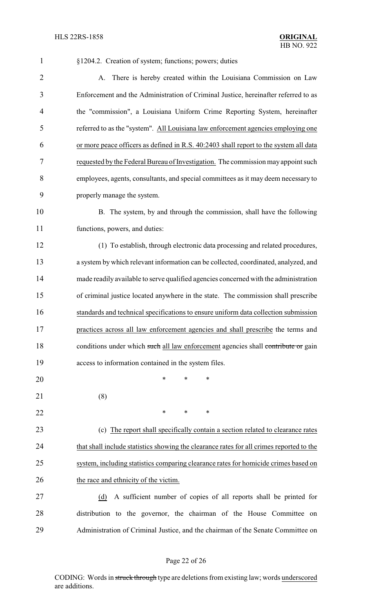| $\mathbf{1}$   | §1204.2. Creation of system; functions; powers; duties                                   |
|----------------|------------------------------------------------------------------------------------------|
| $\overline{2}$ | A. There is hereby created within the Louisiana Commission on Law                        |
| 3              | Enforcement and the Administration of Criminal Justice, hereinafter referred to as       |
| 4              | the "commission", a Louisiana Uniform Crime Reporting System, hereinafter                |
| 5              | referred to as the "system". All Louisiana law enforcement agencies employing one        |
| 6              | or more peace officers as defined in R.S. 40:2403 shall report to the system all data    |
| 7              | requested by the Federal Bureau of Investigation. The commission may appoint such        |
| 8              | employees, agents, consultants, and special committees as it may deem necessary to       |
| 9              | properly manage the system.                                                              |
| 10             | B. The system, by and through the commission, shall have the following                   |
| 11             | functions, powers, and duties:                                                           |
| 12             | (1) To establish, through electronic data processing and related procedures,             |
| 13             | a system by which relevant information can be collected, coordinated, analyzed, and      |
| 14             | made readily available to serve qualified agencies concerned with the administration     |
| 15             | of criminal justice located anywhere in the state. The commission shall prescribe        |
| 16             | standards and technical specifications to ensure uniform data collection submission      |
| 17             | practices across all law enforcement agencies and shall prescribe the terms and          |
| 18             | conditions under which such all law enforcement agencies shall contribute or gain        |
| 19             | access to information contained in the system files.                                     |
| 20             | $\ast$<br>*<br>∗                                                                         |
| 21             | (8)                                                                                      |
| 22             | ∗<br>∗<br>∗                                                                              |
| 23             | (c) The report shall specifically contain a section related to clearance rates           |
| 24             | that shall include statistics showing the clearance rates for all crimes reported to the |
| 25             | system, including statistics comparing clearance rates for homicide crimes based on      |
| 26             | the race and ethnicity of the victim.                                                    |
| 27             | A sufficient number of copies of all reports shall be printed for<br>(d)                 |
| 28             | distribution to the governor, the chairman of the House Committee on                     |
| 29             | Administration of Criminal Justice, and the chairman of the Senate Committee on          |

# Page 22 of 26

CODING: Words in struck through type are deletions from existing law; words underscored are additions.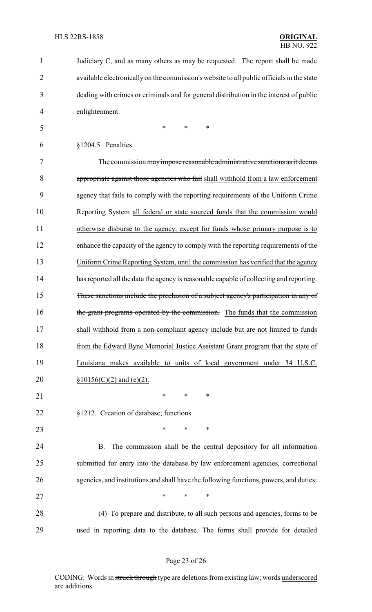| 1              | Judiciary C, and as many others as may be requested. The report shall be made             |
|----------------|-------------------------------------------------------------------------------------------|
| $\overline{2}$ | available electronically on the commission's website to all public officials in the state |
| 3              | dealing with crimes or criminals and for general distribution in the interest of public   |
| 4              | enlightenment.                                                                            |
| 5              | $\ast$<br>$\ast$<br>*                                                                     |
| 6              | §1204.5. Penalties                                                                        |
| 7              | The commission may impose reasonable administrative sanctions as it deems                 |
| 8              | appropriate against those agencies who fail shall withhold from a law enforcement         |
| 9              | agency that fails to comply with the reporting requirements of the Uniform Crime          |
| 10             | Reporting System all federal or state sourced funds that the commission would             |
| 11             | otherwise disburse to the agency, except for funds whose primary purpose is to            |
| 12             | enhance the capacity of the agency to comply with the reporting requirements of the       |
| 13             | Uniform Crime Reporting System, until the commission has verified that the agency         |
| 14             | has reported all the data the agency is reasonable capable of collecting and reporting.   |
| 15             | These sanctions include the preclusion of a subject agency's participation in any of      |
| 16             | the grant programs operated by the commission. The funds that the commission              |
| 17             | shall withhold from a non-compliant agency include but are not limited to funds           |
| 18             | from the Edward Byne Memorial Justice Assistant Grant program that the state of           |
| 19             | Louisiana makes available to units of local government under 34 U.S.C.                    |
| 20             | $§10156(C)(2)$ and (e)(2).                                                                |
| 21             | ∗<br>∗<br>∗                                                                               |
| 22             | §1212. Creation of database; functions                                                    |
| 23             | $\ast$<br>$\ast$<br>∗                                                                     |
| 24             | The commission shall be the central depository for all information<br>В.                  |
| 25             | submitted for entry into the database by law enforcement agencies, correctional           |
| 26             | agencies, and institutions and shall have the following functions, powers, and duties:    |
| 27             | $\ast$<br>*<br>∗                                                                          |
| 28             | (4) To prepare and distribute, to all such persons and agencies, forms to be              |
| 29             | used in reporting data to the database. The forms shall provide for detailed              |
|                |                                                                                           |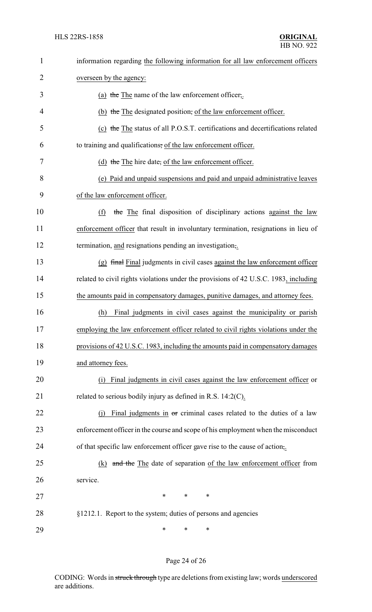| $\mathbf{1}$   | information regarding the following information for all law enforcement officers     |
|----------------|--------------------------------------------------------------------------------------|
| 2              | overseen by the agency:                                                              |
| 3              | (a) the The name of the law enforcement officer,                                     |
| $\overline{4}$ | (b) the The designated position, of the law enforcement officer.                     |
| 5              | (c) the The status of all P.O.S.T. certifications and decertifications related       |
| 6              | to training and qualifications, of the law enforcement officer.                      |
| 7              | (d) the The hire date, of the law enforcement officer.                               |
| 8              | (e) Paid and unpaid suspensions and paid and unpaid administrative leaves            |
| 9              | of the law enforcement officer.                                                      |
| 10             | (f)<br>the The final disposition of disciplinary actions against the law             |
| 11             | enforcement officer that result in involuntary termination, resignations in lieu of  |
| 12             | termination, and resignations pending an investigation,.                             |
| 13             | (g) final Final judgments in civil cases against the law enforcement officer         |
| 14             | related to civil rights violations under the provisions of 42 U.S.C. 1983, including |
| 15             | the amounts paid in compensatory damages, punitive damages, and attorney fees.       |
| 16             | Final judgments in civil cases against the municipality or parish<br>(h)             |
| 17             | employing the law enforcement officer related to civil rights violations under the   |
| 18             | provisions of 42 U.S.C. 1983, including the amounts paid in compensatory damages     |
| 19             | and attorney fees.                                                                   |
| 20             | Final judgments in civil cases against the law enforcement officer or<br>(1)         |
| 21             | related to serious bodily injury as defined in R.S. $14:2(C)$ .                      |
| 22             | Final judgments in or criminal cases related to the duties of a law                  |
| 23             | enforcement officer in the course and scope of his employment when the misconduct    |
| 24             | of that specific law enforcement officer gave rise to the cause of action,.          |
| 25             | and the The date of separation of the law enforcement officer from<br>(k)            |
| 26             | service.                                                                             |
| 27             | $\ast$<br>$\ast$<br>*                                                                |
| 28             | §1212.1. Report to the system; duties of persons and agencies                        |
| 29             | *<br>∗<br>∗                                                                          |

# Page 24 of 26

CODING: Words in struck through type are deletions from existing law; words underscored are additions.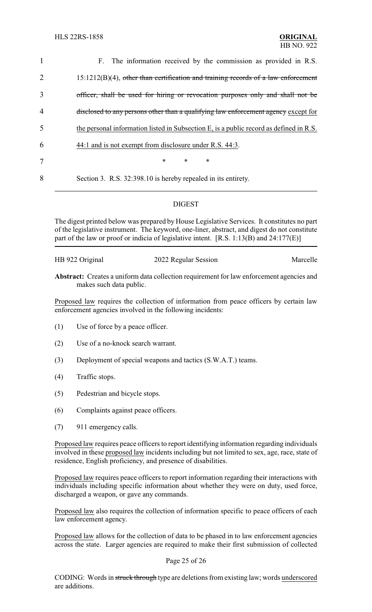| $\mathbf{1}$   | F. The information received by the commission as provided in R.S.                      |
|----------------|----------------------------------------------------------------------------------------|
| $\overline{2}$ | $15:1212(B)(4)$ , other than certification and training records of a law enforcement   |
| 3              | officer, shall be used for hiring or revocation purposes only and shall not be         |
| $\overline{4}$ | disclosed to any persons other than a qualifying law enforcement agency except for     |
| 5              | the personal information listed in Subsection E, is a public record as defined in R.S. |
| 6              | 44:1 and is not exempt from disclosure under R.S. 44:3.                                |
| 7              | $\ast$<br>$\ast$<br>$\ast$                                                             |
| 8              | Section 3. R.S. 32:398.10 is hereby repealed in its entirety.                          |
|                |                                                                                        |

### DIGEST

The digest printed below was prepared by House Legislative Services. It constitutes no part of the legislative instrument. The keyword, one-liner, abstract, and digest do not constitute part of the law or proof or indicia of legislative intent. [R.S. 1:13(B) and 24:177(E)]

HB 922 Original 2022 Regular Session Marcelle

**Abstract:** Creates a uniform data collection requirement for law enforcement agencies and makes such data public.

Proposed law requires the collection of information from peace officers by certain law enforcement agencies involved in the following incidents:

- (1) Use of force by a peace officer.
- (2) Use of a no-knock search warrant.
- (3) Deployment of special weapons and tactics (S.W.A.T.) teams.
- (4) Traffic stops.
- (5) Pedestrian and bicycle stops.
- (6) Complaints against peace officers.
- (7) 911 emergency calls.

Proposed law requires peace officers to report identifying information regarding individuals involved in these proposed law incidents including but not limited to sex, age, race, state of residence, English proficiency, and presence of disabilities.

Proposed law requires peace officers to report information regarding their interactions with individuals including specific information about whether they were on duty, used force, discharged a weapon, or gave any commands.

Proposed law also requires the collection of information specific to peace officers of each law enforcement agency.

Proposed law allows for the collection of data to be phased in to law enforcement agencies across the state. Larger agencies are required to make their first submission of collected

#### Page 25 of 26

CODING: Words in struck through type are deletions from existing law; words underscored are additions.